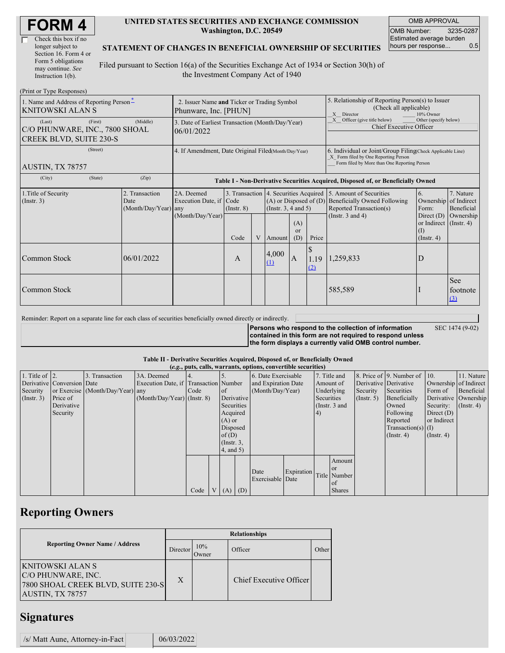| <b>FORM4</b> |
|--------------|
|--------------|

| Check this box if no  |
|-----------------------|
| longer subject to     |
| Section 16. Form 4 or |
| Form 5 obligations    |
| may continue. See     |
| Instruction 1(b).     |

#### **UNITED STATES SECURITIES AND EXCHANGE COMMISSION Washington, D.C. 20549**

OMB APPROVAL OMB Number: 3235-0287 Estimated average burden hours per response... 0.5

### **STATEMENT OF CHANGES IN BENEFICIAL OWNERSHIP OF SECURITIES**

Filed pursuant to Section 16(a) of the Securities Exchange Act of 1934 or Section 30(h) of the Investment Company Act of 1940

| (Print or Type Responses)                                           |                                                                      |                      |                                                                                  |                 |   |                                                        |                                                                                                       |                                   |                                                                                                                                                    |                                                                   |                                        |  |
|---------------------------------------------------------------------|----------------------------------------------------------------------|----------------------|----------------------------------------------------------------------------------|-----------------|---|--------------------------------------------------------|-------------------------------------------------------------------------------------------------------|-----------------------------------|----------------------------------------------------------------------------------------------------------------------------------------------------|-------------------------------------------------------------------|----------------------------------------|--|
| 1. Name and Address of Reporting Person-<br><b>KNITOWSKI ALAN S</b> | 2. Issuer Name and Ticker or Trading Symbol<br>Phunware, Inc. [PHUN] |                      |                                                                                  |                 |   |                                                        | 5. Relationship of Reporting Person(s) to Issuer<br>(Check all applicable)<br>X Director<br>10% Owner |                                   |                                                                                                                                                    |                                                                   |                                        |  |
| (Last)<br>C/O PHUNWARE, INC., 7800 SHOAL<br>CREEK BLVD, SUITE 230-S | 3. Date of Earliest Transaction (Month/Day/Year)<br>06/01/2022       |                      |                                                                                  |                 |   |                                                        | Officer (give title below)<br>Other (specify below)<br>X<br>Chief Executive Officer                   |                                   |                                                                                                                                                    |                                                                   |                                        |  |
| (Street)<br>AUSTIN, TX 78757                                        |                                                                      |                      | 4. If Amendment, Date Original Filed(Month/Day/Year)                             |                 |   |                                                        |                                                                                                       |                                   | 6. Individual or Joint/Group Filing Check Applicable Line)<br>X Form filed by One Reporting Person<br>Form filed by More than One Reporting Person |                                                                   |                                        |  |
| (City)                                                              | (State)                                                              | (Zip)                | Table I - Non-Derivative Securities Acquired, Disposed of, or Beneficially Owned |                 |   |                                                        |                                                                                                       |                                   |                                                                                                                                                    |                                                                   |                                        |  |
| 1. Title of Security<br>2. Transaction<br>(Insert. 3)<br>Date       |                                                                      | (Month/Day/Year) any | 2A. Deemed<br>Execution Date, if Code                                            | $($ Instr. $8)$ |   | $(A)$ or Disposed of $(D)$<br>(Instr. $3, 4$ and $5$ ) |                                                                                                       |                                   | 3. Transaction 4. Securities Acquired 5. Amount of Securities<br><b>Beneficially Owned Following</b><br>Reported Transaction(s)                    | 6.<br>Ownership<br>Form:                                          | 7. Nature<br>of Indirect<br>Beneficial |  |
|                                                                     |                                                                      |                      | (Month/Day/Year)                                                                 | Code            | V | Amount                                                 | (A)<br><b>or</b><br>(D)                                                                               | Price                             | (Instr. $3$ and $4$ )                                                                                                                              | Direct $(D)$<br>or Indirect (Instr. 4)<br>(I)<br>$($ Instr. 4 $)$ | Ownership                              |  |
| Common Stock                                                        |                                                                      | 06/01/2022           |                                                                                  | A               |   | 4,000<br>$\Omega$                                      | $\mathbf{A}$                                                                                          | <sup>\$</sup><br>1.19<br>$\Omega$ | 1,259,833                                                                                                                                          | D                                                                 |                                        |  |
| Common Stock                                                        |                                                                      |                      |                                                                                  |                 |   |                                                        |                                                                                                       |                                   | 585,589                                                                                                                                            |                                                                   | <b>See</b><br>footnote<br>$\Omega$     |  |

Reminder: Report on a separate line for each class of securities beneficially owned directly or indirectly.

**Persons who respond to the collection of information contained in this form are not required to respond unless the form displays a currently valid OMB control number.** SEC 1474 (9-02)

### **Table II - Derivative Securities Acquired, Disposed of, or Beneficially Owned**

| (e.g., puts, calls, warrants, options, convertible securities) |                            |                                  |                                       |      |  |                 |                 |                          |            |            |                 |                       |                          |                       |                  |
|----------------------------------------------------------------|----------------------------|----------------------------------|---------------------------------------|------|--|-----------------|-----------------|--------------------------|------------|------------|-----------------|-----------------------|--------------------------|-----------------------|------------------|
| 1. Title of $\vert$ 2.                                         |                            | . Transaction                    | 3A. Deemed                            |      |  |                 |                 | 6. Date Exercisable      |            |            | 7. Title and    |                       | 8. Price of 9. Number of | 110.                  | 11. Nature       |
|                                                                | Derivative Conversion Date |                                  | Execution Date, if Transaction Number |      |  |                 |                 | and Expiration Date      |            | Amount of  |                 | Derivative Derivative |                          | Ownership of Indirect |                  |
| Security                                                       |                            | or Exercise (Month/Day/Year) any |                                       | Code |  | <sub>of</sub>   |                 | (Month/Day/Year)         |            | Underlying |                 | Security              | Securities               | Form of               | Beneficial       |
| (Insert. 3)                                                    | Price of                   |                                  | $(Month/Day/Year)$ (Instr. 8)         |      |  | Derivative      |                 |                          |            | Securities |                 | $($ Instr. 5 $)$      | Beneficially             | Derivative Ownership  |                  |
|                                                                | Derivative                 |                                  |                                       |      |  | Securities      |                 |                          |            |            | (Instr. $3$ and |                       | Owned                    | Security:             | $($ Instr. 4 $)$ |
|                                                                | Security                   |                                  |                                       |      |  | Acquired        |                 |                          |            | 4)         |                 |                       | Following                | Direct $(D)$          |                  |
|                                                                |                            |                                  |                                       |      |  | $(A)$ or        |                 |                          |            |            |                 |                       | Reported                 | or Indirect           |                  |
|                                                                |                            |                                  |                                       |      |  | Disposed        |                 |                          |            |            |                 |                       | Transaction(s) $(I)$     |                       |                  |
|                                                                |                            |                                  |                                       |      |  | of $(D)$        |                 |                          |            |            |                 |                       | $($ Instr. 4 $)$         | $($ Instr. 4 $)$      |                  |
|                                                                |                            |                                  |                                       |      |  |                 | $($ Instr. $3,$ |                          |            |            |                 |                       |                          |                       |                  |
|                                                                |                            |                                  |                                       |      |  | $4$ , and $5$ ) |                 |                          |            |            |                 |                       |                          |                       |                  |
|                                                                |                            |                                  |                                       |      |  |                 |                 |                          |            |            | Amount          |                       |                          |                       |                  |
|                                                                |                            |                                  |                                       |      |  |                 |                 |                          |            |            | <b>or</b>       |                       |                          |                       |                  |
|                                                                |                            |                                  |                                       |      |  |                 |                 | Date<br>Exercisable Date | Expiration |            | Title Number    |                       |                          |                       |                  |
|                                                                |                            |                                  |                                       |      |  |                 |                 |                          |            |            | <sub>of</sub>   |                       |                          |                       |                  |
|                                                                |                            |                                  |                                       | Code |  | V(A)            | (D)             |                          |            |            | <b>Shares</b>   |                       |                          |                       |                  |

## **Reporting Owners**

|                                                                                                         | <b>Relationships</b> |              |                         |       |  |  |  |  |  |
|---------------------------------------------------------------------------------------------------------|----------------------|--------------|-------------------------|-------|--|--|--|--|--|
| <b>Reporting Owner Name / Address</b>                                                                   | Director             | 10%<br>Jwner | Officer                 | Other |  |  |  |  |  |
| <b>KNITOWSKI ALAN S</b><br>C/O PHUNWARE, INC.<br>7800 SHOAL CREEK BLVD, SUITE 230-S<br>AUSTIN, TX 78757 | X                    |              | Chief Executive Officer |       |  |  |  |  |  |

### **Signatures**

| /s/ Matt Aune, Attorney-in-Fact | 06/03/2022 |
|---------------------------------|------------|
|---------------------------------|------------|